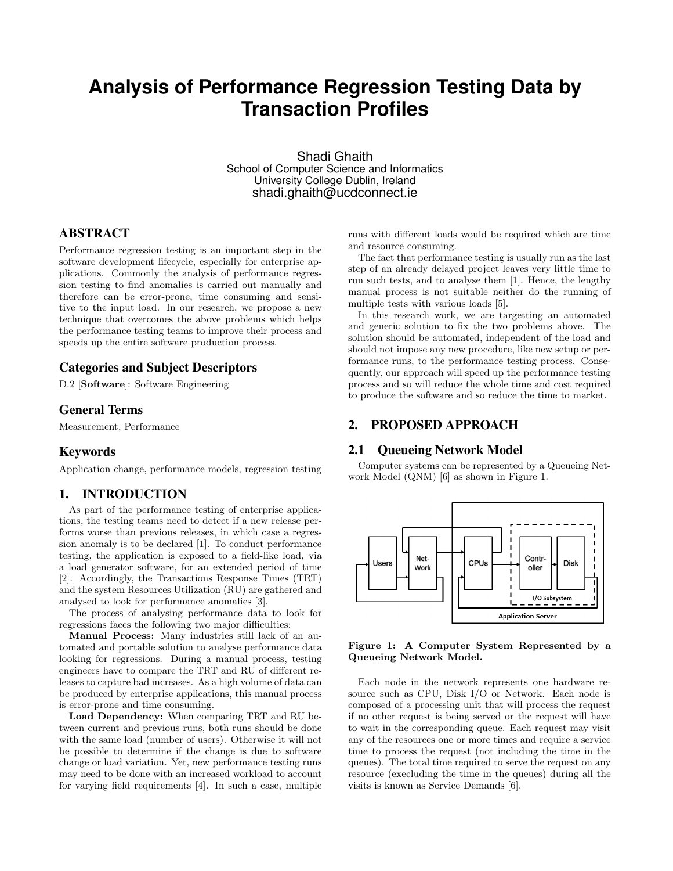# **Analysis of Performance Regression Testing Data by Transaction Profiles**

Shadi Ghaith School of Computer Science and Informatics University College Dublin, Ireland shadi.ghaith@ucdconnect.ie

# ABSTRACT

Performance regression testing is an important step in the software development lifecycle, especially for enterprise applications. Commonly the analysis of performance regression testing to find anomalies is carried out manually and therefore can be error-prone, time consuming and sensitive to the input load. In our research, we propose a new technique that overcomes the above problems which helps the performance testing teams to improve their process and speeds up the entire software production process.

### Categories and Subject Descriptors

D.2 [Software]: Software Engineering

#### General Terms

Measurement, Performance

#### Keywords

Application change, performance models, regression testing

#### 1. INTRODUCTION

As part of the performance testing of enterprise applications, the testing teams need to detect if a new release performs worse than previous releases, in which case a regression anomaly is to be declared [1]. To conduct performance testing, the application is exposed to a field-like load, via a load generator software, for an extended period of time [2]. Accordingly, the Transactions Response Times (TRT) and the system Resources Utilization (RU) are gathered and analysed to look for performance anomalies [3].

The process of analysing performance data to look for regressions faces the following two major difficulties:

Manual Process: Many industries still lack of an automated and portable solution to analyse performance data looking for regressions. During a manual process, testing engineers have to compare the TRT and RU of different releases to capture bad increases. As a high volume of data can be produced by enterprise applications, this manual process is error-prone and time consuming.

Load Dependency: When comparing TRT and RU between current and previous runs, both runs should be done with the same load (number of users). Otherwise it will not be possible to determine if the change is due to software change or load variation. Yet, new performance testing runs may need to be done with an increased workload to account for varying field requirements [4]. In such a case, multiple runs with different loads would be required which are time and resource consuming.

The fact that performance testing is usually run as the last step of an already delayed project leaves very little time to run such tests, and to analyse them [1]. Hence, the lengthy manual process is not suitable neither do the running of multiple tests with various loads [5].

In this research work, we are targetting an automated and generic solution to fix the two problems above. The solution should be automated, independent of the load and should not impose any new procedure, like new setup or performance runs, to the performance testing process. Consequently, our approach will speed up the performance testing process and so will reduce the whole time and cost required to produce the software and so reduce the time to market.

### 2. PROPOSED APPROACH

#### 2.1 Queueing Network Model

Computer systems can be represented by a Queueing Network Model (QNM) [6] as shown in Figure 1.



Figure 1: A Computer System Represented by a Queueing Network Model.

Each node in the network represents one hardware resource such as CPU, Disk I/O or Network. Each node is composed of a processing unit that will process the request if no other request is being served or the request will have to wait in the corresponding queue. Each request may visit any of the resources one or more times and require a service time to process the request (not including the time in the queues). The total time required to serve the request on any resource (execluding the time in the queues) during all the visits is known as Service Demands [6].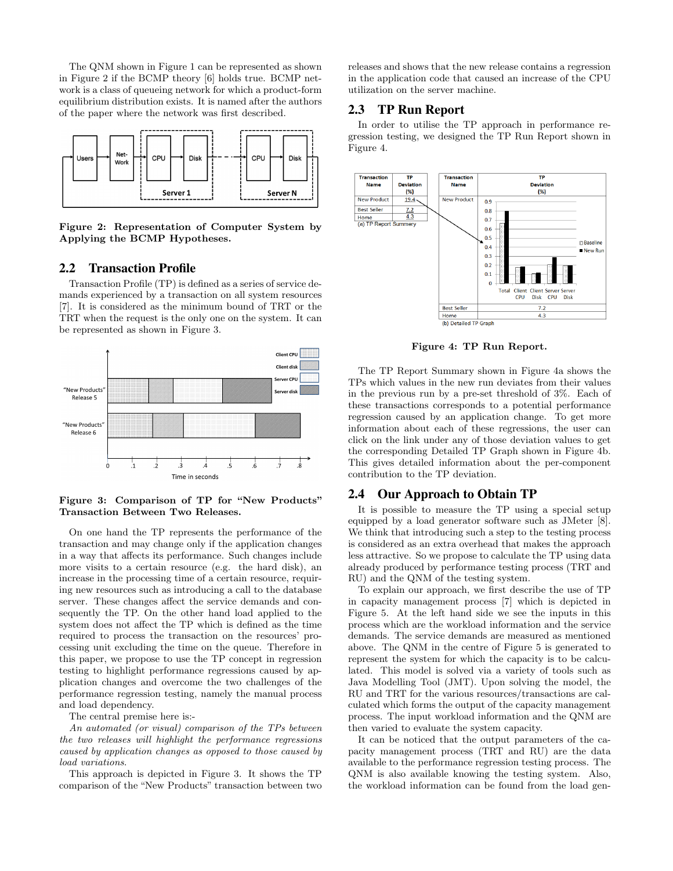The QNM shown in Figure 1 can be represented as shown in Figure 2 if the BCMP theory [6] holds true. BCMP network is a class of queueing network for which a product-form equilibrium distribution exists. It is named after the authors of the paper where the network was first described.



Figure 2: Representation of Computer System by Applying the BCMP Hypotheses.

### 2.2 Transaction Profile

Transaction Profile (TP) is defined as a series of service demands experienced by a transaction on all system resources [7]. It is considered as the minimum bound of TRT or the TRT when the request is the only one on the system. It can be represented as shown in Figure 3.



Figure 3: Comparison of TP for "New Products" Transaction Between Two Releases.

On one hand the TP represents the performance of the transaction and may change only if the application changes in a way that affects its performance. Such changes include more visits to a certain resource (e.g. the hard disk), an increase in the processing time of a certain resource, requiring new resources such as introducing a call to the database server. These changes affect the service demands and consequently the TP. On the other hand load applied to the system does not affect the TP which is defined as the time required to process the transaction on the resources' processing unit excluding the time on the queue. Therefore in this paper, we propose to use the TP concept in regression testing to highlight performance regressions caused by application changes and overcome the two challenges of the performance regression testing, namely the manual process and load dependency.

The central premise here is:-

An automated (or visual) comparison of the TPs between the two releases will highlight the performance regressions caused by application changes as opposed to those caused by load variations.

This approach is depicted in Figure 3. It shows the TP comparison of the "New Products" transaction between two releases and shows that the new release contains a regression in the application code that caused an increase of the CPU utilization on the server machine.

#### 2.3 TP Run Report

In order to utilise the TP approach in performance regression testing, we designed the TP Run Report shown in Figure 4.



Figure 4: TP Run Report.

The TP Report Summary shown in Figure 4a shows the TPs which values in the new run deviates from their values in the previous run by a pre-set threshold of 3%. Each of these transactions corresponds to a potential performance regression caused by an application change. To get more information about each of these regressions, the user can click on the link under any of those deviation values to get the corresponding Detailed TP Graph shown in Figure 4b. This gives detailed information about the per-component contribution to the TP deviation.

#### 2.4 Our Approach to Obtain TP

It is possible to measure the TP using a special setup equipped by a load generator software such as JMeter [8]. We think that introducing such a step to the testing process is considered as an extra overhead that makes the approach less attractive. So we propose to calculate the TP using data already produced by performance testing process (TRT and RU) and the QNM of the testing system.

To explain our approach, we first describe the use of TP in capacity management process [7] which is depicted in Figure 5. At the left hand side we see the inputs in this process which are the workload information and the service demands. The service demands are measured as mentioned above. The QNM in the centre of Figure 5 is generated to represent the system for which the capacity is to be calculated. This model is solved via a variety of tools such as Java Modelling Tool (JMT). Upon solving the model, the RU and TRT for the various resources/transactions are calculated which forms the output of the capacity management process. The input workload information and the QNM are then varied to evaluate the system capacity.

It can be noticed that the output parameters of the capacity management process (TRT and RU) are the data available to the performance regression testing process. The QNM is also available knowing the testing system. Also, the workload information can be found from the load gen-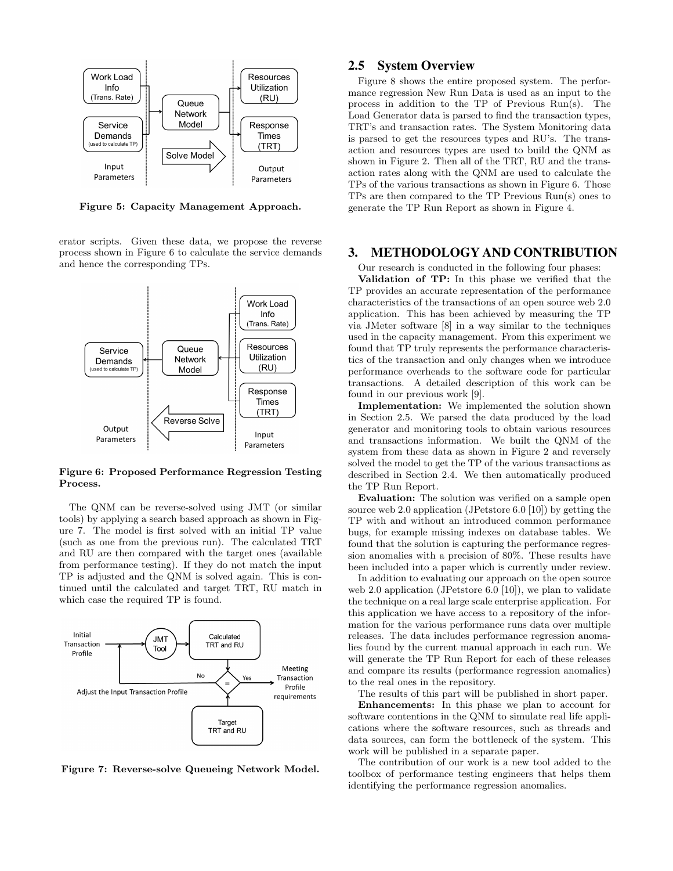

Figure 5: Capacity Management Approach.

erator scripts. Given these data, we propose the reverse process shown in Figure 6 to calculate the service demands and hence the corresponding TPs.



Figure 6: Proposed Performance Regression Testing Process.

The QNM can be reverse-solved using JMT (or similar tools) by applying a search based approach as shown in Figure 7. The model is first solved with an initial TP value (such as one from the previous run). The calculated TRT and RU are then compared with the target ones (available from performance testing). If they do not match the input TP is adjusted and the QNM is solved again. This is continued until the calculated and target TRT, RU match in which case the required TP is found.



Figure 7: Reverse-solve Queueing Network Model.

# 2.5 System Overview

Figure 8 shows the entire proposed system. The performance regression New Run Data is used as an input to the process in addition to the TP of Previous Run(s). The Load Generator data is parsed to find the transaction types, TRT's and transaction rates. The System Monitoring data is parsed to get the resources types and RU's. The transaction and resources types are used to build the QNM as shown in Figure 2. Then all of the TRT, RU and the transaction rates along with the QNM are used to calculate the TPs of the various transactions as shown in Figure 6. Those TPs are then compared to the TP Previous Run(s) ones to generate the TP Run Report as shown in Figure 4.

#### 3. METHODOLOGY AND CONTRIBUTION

Our research is conducted in the following four phases: Validation of TP: In this phase we verified that the TP provides an accurate representation of the performance characteristics of the transactions of an open source web 2.0 application. This has been achieved by measuring the TP via JMeter software [8] in a way similar to the techniques used in the capacity management. From this experiment we found that TP truly represents the performance characteristics of the transaction and only changes when we introduce performance overheads to the software code for particular transactions. A detailed description of this work can be found in our previous work [9].

Implementation: We implemented the solution shown in Section 2.5. We parsed the data produced by the load generator and monitoring tools to obtain various resources and transactions information. We built the QNM of the system from these data as shown in Figure 2 and reversely solved the model to get the TP of the various transactions as described in Section 2.4. We then automatically produced the TP Run Report.

Evaluation: The solution was verified on a sample open source web 2.0 application (JPetstore 6.0 [10]) by getting the TP with and without an introduced common performance bugs, for example missing indexes on database tables. We found that the solution is capturing the performance regression anomalies with a precision of 80%. These results have been included into a paper which is currently under review.

In addition to evaluating our approach on the open source web 2.0 application (JPetstore 6.0 [10]), we plan to validate the technique on a real large scale enterprise application. For this application we have access to a repository of the information for the various performance runs data over multiple releases. The data includes performance regression anomalies found by the current manual approach in each run. We will generate the TP Run Report for each of these releases and compare its results (performance regression anomalies) to the real ones in the repository.

The results of this part will be published in short paper.

Enhancements: In this phase we plan to account for software contentions in the QNM to simulate real life applications where the software resources, such as threads and data sources, can form the bottleneck of the system. This work will be published in a separate paper.

The contribution of our work is a new tool added to the toolbox of performance testing engineers that helps them identifying the performance regression anomalies.